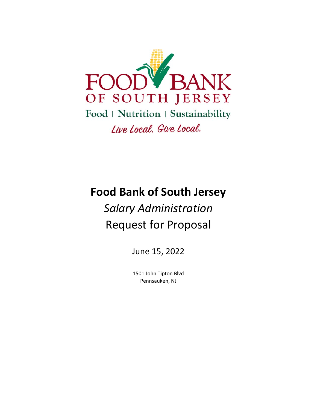

# **Food Bank of South Jersey**

# *Salary Administration*  Request for Proposal

June 15, 2022

1501 John Tipton Blvd Pennsauken, NJ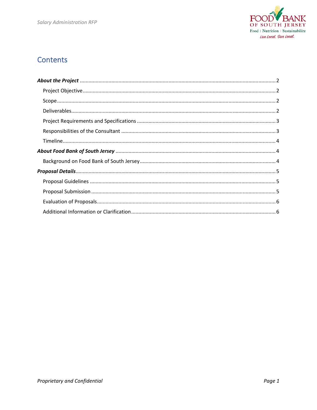

# **Contents**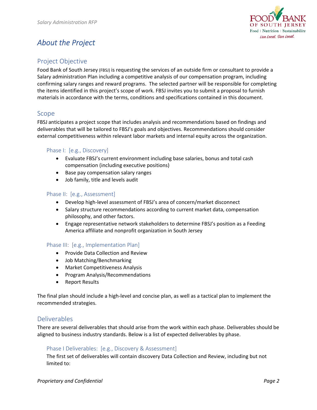

# *About the Project*

# Project Objective

Food Bank of South Jersey (FBSJ) is requesting the services of an outside firm or consultant to provide a Salary administration Plan including a competitive analysis of our compensation program, including confirming salary ranges and reward programs. The selected partner will be responsible for completing the items identified in this project's scope of work. FBSJ invites you to submit a proposal to furnish materials in accordance with the terms, conditions and specifications contained in this document.

### Scope

FBSJ anticipates a project scope that includes analysis and recommendations based on findings and deliverables that will be tailored to FBSJ's goals and objectives. Recommendations should consider external competitiveness within relevant labor markets and internal equity across the organization.

#### Phase I: [e.g., Discovery]

- Evaluate FBSJ's current environment including base salaries, bonus and total cash compensation (including executive positions)
- Base pay compensation salary ranges
- Job family, title and levels audit

#### Phase II: [e.g., Assessment]

- Develop high-level assessment of FBSJ's area of concern/market disconnect
- Salary structure recommendations according to current market data, compensation philosophy, and other factors.
- Engage representative network stakeholders to determine FBSJ's position as a Feeding America affiliate and nonprofit organization in South Jersey

#### Phase III: [e.g., Implementation Plan]

- Provide Data Collection and Review
- Job Matching/Benchmarking
- Market Competitiveness Analysis
- Program Analysis/Recommendations
- Report Results

The final plan should include a high‐level and concise plan, as well as a tactical plan to implement the recommended strategies.

#### Deliverables

There are several deliverables that should arise from the work within each phase. Deliverables should be aligned to business industry standards. Below is a list of expected deliverables by phase.

#### Phase I Deliverables: [e.g., Discovery & Assessment]

The first set of deliverables will contain discovery Data Collection and Review, including but not limited to: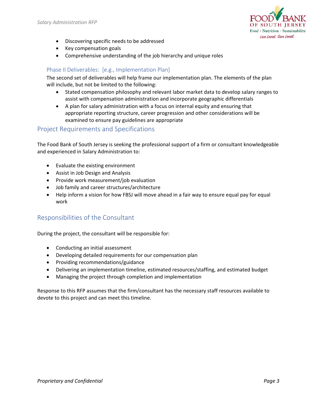

- Discovering specific needs to be addressed
- Key compensation goals
- Comprehensive understanding of the job hierarchy and unique roles

### Phase II Deliverables: [e.g., Implementation Plan]

The second set of deliverables will help frame our implementation plan. The elements of the plan will include, but not be limited to the following:

- Stated compensation philosophy and relevant labor market data to develop salary ranges to assist with compensation administration and incorporate geographic differentials
- A plan for salary administration with a focus on internal equity and ensuring that appropriate reporting structure, career progression and other considerations will be examined to ensure pay guidelines are appropriate

#### Project Requirements and Specifications

The Food Bank of South Jersey is seeking the professional support of a firm or consultant knowledgeable and experienced in Salary Administration to:

- Evaluate the existing environment
- Assist in Job Design and Analysis
- Provide work measurement/job evaluation
- Job family and career structures/architecture
- Help inform a vision for how FBSJ will move ahead in a fair way to ensure equal pay for equal work

## Responsibilities of the Consultant

During the project, the consultant will be responsible for:

- Conducting an initial assessment
- Developing detailed requirements for our compensation plan
- Providing recommendations/guidance
- Delivering an implementation timeline, estimated resources/staffing, and estimated budget
- Managing the project through completion and implementation

Response to this RFP assumes that the firm/consultant has the necessary staff resources available to devote to this project and can meet this timeline.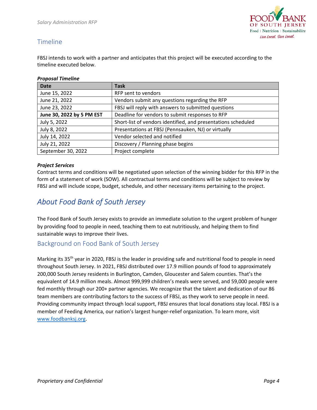

# Timeline

FBSJ intends to work with a partner and anticipates that this project will be executed according to the timeline executed below.

#### *Proposal Timeline*

| <b>Date</b>               | <b>Task</b>                                                   |
|---------------------------|---------------------------------------------------------------|
| June 15, 2022             | RFP sent to vendors                                           |
| June 21, 2022             | Vendors submit any questions regarding the RFP                |
| June 23, 2022             | FBSJ will reply with answers to submitted questions           |
| June 30, 2022 by 5 PM EST | Deadline for vendors to submit responses to RFP               |
| July 5, 2022              | Short-list of vendors identified, and presentations scheduled |
| July 8, 2022              | Presentations at FBSJ (Pennsauken, NJ) or virtually           |
| July 14, 2022             | Vendor selected and notified                                  |
| July 21, 2022             | Discovery / Planning phase begins                             |
| September 30, 2022        | Project complete                                              |

#### *Project Services*

Contract terms and conditions will be negotiated upon selection of the winning bidder for this RFP in the form of a statement of work (SOW). All contractual terms and conditions will be subject to review by FBSJ and will include scope, budget, schedule, and other necessary items pertaining to the project.

# *About Food Bank of South Jersey*

The Food Bank of South Jersey exists to provide an immediate solution to the urgent problem of hunger by providing food to people in need, teaching them to eat nutritiously, and helping them to find sustainable ways to improve their lives.

## Background on Food Bank of South Jersey

Marking its 35<sup>th</sup> year in 2020, FBSJ is the leader in providing safe and nutritional food to people in need throughout South Jersey. In 2021, FBSJ distributed over 17.9 million pounds of food to approximately 200,000 South Jersey residents in Burlington, Camden, Gloucester and Salem counties. That's the equivalent of 14.9 million meals. Almost 999,999 children's meals were served, and 59,000 people were fed monthly through our 200+ partner agencies. We recognize that the talent and dedication of our 86 team members are contributing factors to the success of FBSJ, as they work to serve people in need. Providing community impact through local support, FBSJ ensures that local donations stay local. FBSJ is a member of Feeding America, our nation's largest hunger‐relief organization. To learn more, visit www.foodbanksj.org.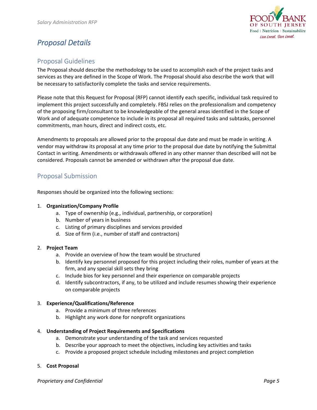

# *Proposal Details*

## Proposal Guidelines

The Proposal should describe the methodology to be used to accomplish each of the project tasks and services as they are defined in the Scope of Work. The Proposal should also describe the work that will be necessary to satisfactorily complete the tasks and service requirements.

Please note that this Request for Proposal (RFP) cannot identify each specific, individual task required to implement this project successfully and completely. FBSJ relies on the professionalism and competency of the proposing firm/consultant to be knowledgeable of the general areas identified in the Scope of Work and of adequate competence to include in its proposal all required tasks and subtasks, personnel commitments, man hours, direct and indirect costs, etc.

Amendments to proposals are allowed prior to the proposal due date and must be made in writing. A vendor may withdraw its proposal at any time prior to the proposal due date by notifying the Submittal Contact in writing. Amendments or withdrawals offered in any other manner than described will not be considered. Proposals cannot be amended or withdrawn after the proposal due date.

## Proposal Submission

Responses should be organized into the following sections:

#### 1. **Organization/Company Profile**

- a. Type of ownership (e.g., individual, partnership, or corporation)
- b. Number of years in business
- c. Listing of primary disciplines and services provided
- d. Size of firm (i.e., number of staff and contractors)

#### 2. **Project Team**

- a. Provide an overview of how the team would be structured
- b. Identify key personnel proposed for this project including their roles, number of years at the firm, and any special skill sets they bring
- c. Include bios for key personnel and their experience on comparable projects
- d. Identify subcontractors, if any, to be utilized and include resumes showing their experience on comparable projects

#### 3. **Experience/Qualifications/Reference**

- a. Provide a minimum of three references
- b. Highlight any work done for nonprofit organizations

#### 4. **Understanding of Project Requirements and Specifications**

- a. Demonstrate your understanding of the task and services requested
- b. Describe your approach to meet the objectives, including key activities and tasks
- c. Provide a proposed project schedule including milestones and project completion

#### 5. **Cost Proposal**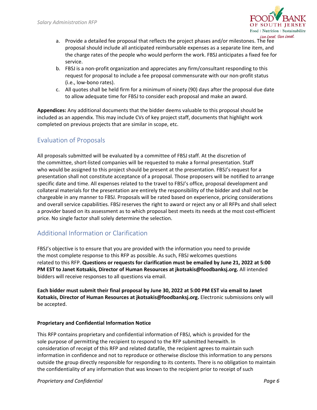

- a. Provide a detailed fee proposal that reflects the project phases and/or milestones. The fee proposal should include all anticipated reimbursable expenses as a separate line item, and the charge rates of the people who would perform the work. FBSJ anticipates a fixed fee for service.
- b. FBSJ is a non‐profit organization and appreciates any firm/consultant responding to this request for proposal to include a fee proposal commensurate with our non‐profit status (i.e., low‐bono rates).
- c. All quotes shall be held firm for a minimum of ninety (90) days after the proposal due date to allow adequate time for FBSJ to consider each proposal and make an award.

**Appendices:** Any additional documents that the bidder deems valuable to this proposal should be included as an appendix. This may include CVs of key project staff, documents that highlight work completed on previous projects that are similar in scope, etc.

# Evaluation of Proposals

All proposals submitted will be evaluated by a committee of FBSJ staff. At the discretion of the committee, short-listed companies will be requested to make a formal presentation. Staff who would be assigned to this project should be present at the presentation. FBSJ's request for a presentation shall not constitute acceptance of a proposal. Those proposers will be notified to arrange specific date and time. All expenses related to the travel to FBSJ's office, proposal development and collateral materials for the presentation are entirely the responsibility of the bidder and shall not be chargeable in any manner to FBSJ. Proposals will be rated based on experience, pricing considerations and overall service capabilities. FBSJ reserves the right to award or reject any or all RFPs and shall select a provider based on its assessment as to which proposal best meets its needs at the most cost-efficient price. No single factor shall solely determine the selection.

# Additional Information or Clarification

FBSJ's objective is to ensure that you are provided with the information you need to provide the most complete response to this RFP as possible. As such, FBSJ welcomes questions related to this RFP. **Questions or requests for clarification must be emailed by June 21, 2022 at 5:00 PM EST to Janet Kotsakis, Director of Human Resources at jkotsakis@foodbanksj.org.** All intended bidders will receive responses to all questions via email.

**Each bidder must submit their final proposal by June 30, 2022 at 5:00 PM EST via email to Janet Kotsakis, Director of Human Resources at jkotsakis@foodbanksj.org.** Electronic submissions only will be accepted.

#### **Proprietary and Confidential Information Notice**

This RFP contains proprietary and confidential information of FBSJ, which is provided for the sole purpose of permitting the recipient to respond to the RFP submitted herewith. In consideration of receipt of this RFP and related datafile, the recipient agrees to maintain such information in confidence and not to reproduce or otherwise disclose this information to any persons outside the group directly responsible for responding to its contents. There is no obligation to maintain the confidentiality of any information that was known to the recipient prior to receipt of such